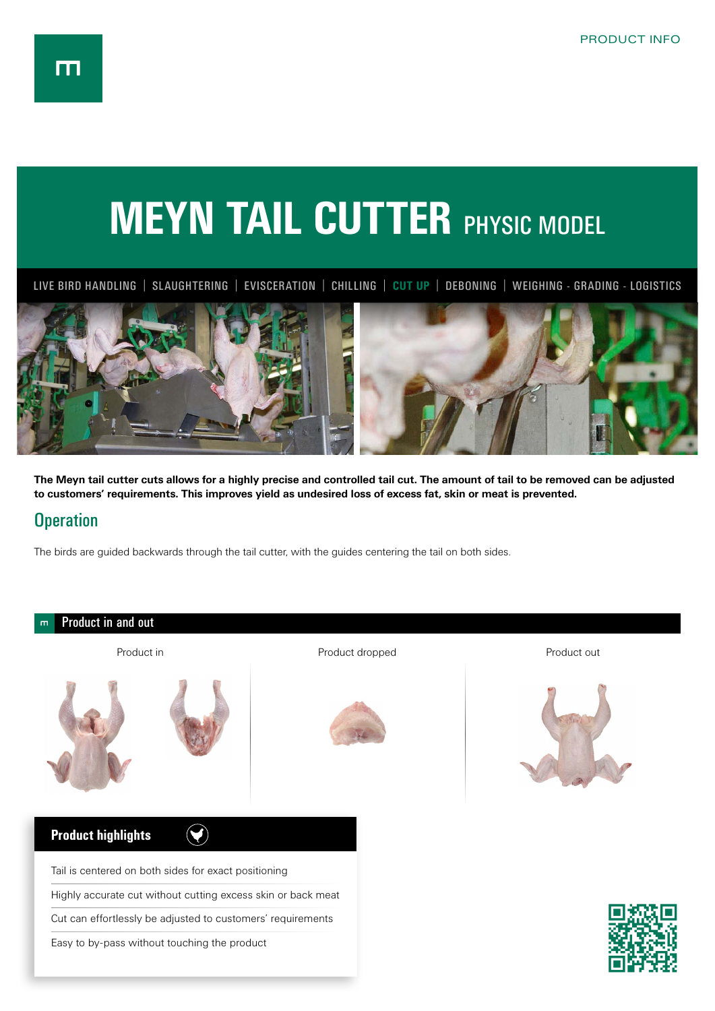## **MEYN TAIL CUTTER PHYSIC MODEL**

LIVE BIRD HANDLING | SLAUGHTERING | EVISCERATION | CHILLING | **CUT UP** | DEBONING | WEIGHING - GRADING - LOGISTICS



**The Meyn tail cutter cuts allows for a highly precise and controlled tail cut. The amount of tail to be removed can be adjusted to customers' requirements. This improves yield as undesired loss of excess fat, skin or meat is prevented.**

## **Operation**

The birds are guided backwards through the tail cutter, with the guides centering the tail on both sides.